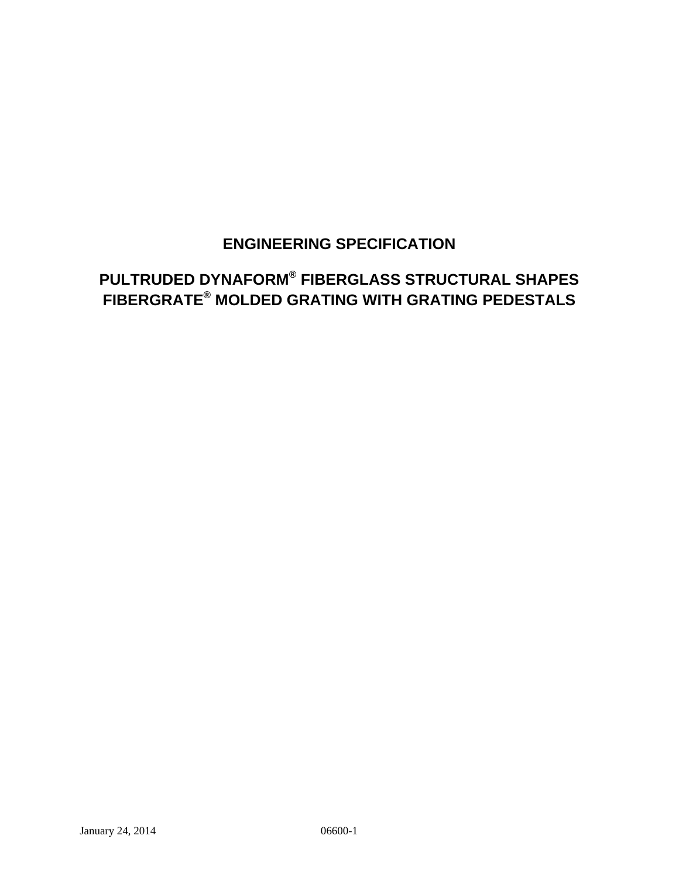## **ENGINEERING SPECIFICATION**

# **PULTRUDED DYNAFORM® FIBERGLASS STRUCTURAL SHAPES FIBERGRATE® MOLDED GRATING WITH GRATING PEDESTALS**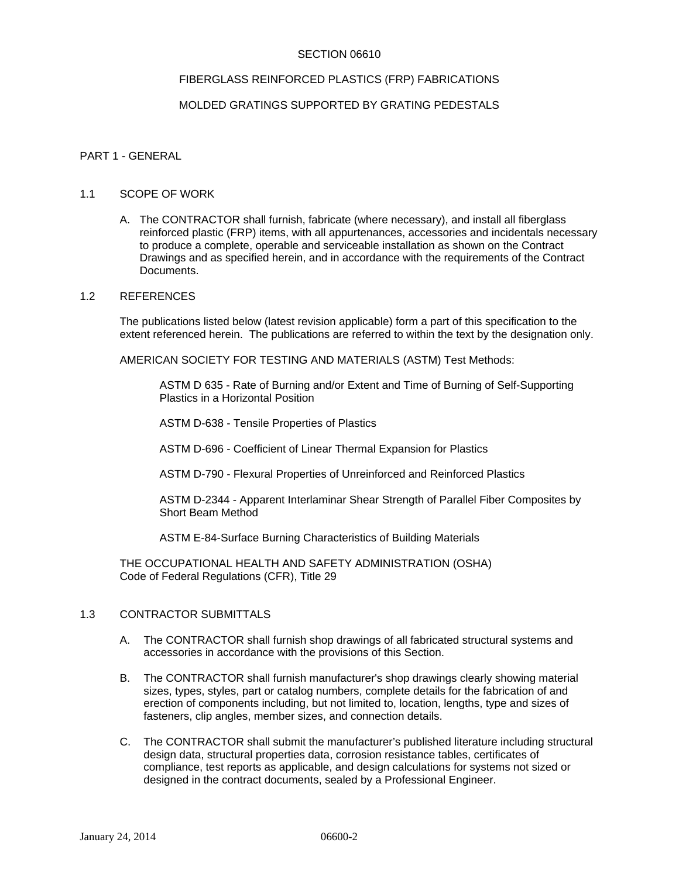## SECTION 06610

## FIBERGLASS REINFORCED PLASTICS (FRP) FABRICATIONS

## MOLDED GRATINGS SUPPORTED BY GRATING PEDESTALS

## PART 1 - GENERAL

#### 1.1 SCOPE OF WORK

A. The CONTRACTOR shall furnish, fabricate (where necessary), and install all fiberglass reinforced plastic (FRP) items, with all appurtenances, accessories and incidentals necessary to produce a complete, operable and serviceable installation as shown on the Contract Drawings and as specified herein, and in accordance with the requirements of the Contract Documents.

#### 1.2 REFERENCES

The publications listed below (latest revision applicable) form a part of this specification to the extent referenced herein. The publications are referred to within the text by the designation only.

AMERICAN SOCIETY FOR TESTING AND MATERIALS (ASTM) Test Methods:

ASTM D 635 - Rate of Burning and/or Extent and Time of Burning of Self-Supporting Plastics in a Horizontal Position

ASTM D-638 - Tensile Properties of Plastics

ASTM D-696 - Coefficient of Linear Thermal Expansion for Plastics

ASTM D-790 - Flexural Properties of Unreinforced and Reinforced Plastics

 ASTM D-2344 - Apparent Interlaminar Shear Strength of Parallel Fiber Composites by Short Beam Method

ASTM E-84-Surface Burning Characteristics of Building Materials

 THE OCCUPATIONAL HEALTH AND SAFETY ADMINISTRATION (OSHA) Code of Federal Regulations (CFR), Title 29

## 1.3 CONTRACTOR SUBMITTALS

- A. The CONTRACTOR shall furnish shop drawings of all fabricated structural systems and accessories in accordance with the provisions of this Section.
- B. The CONTRACTOR shall furnish manufacturer's shop drawings clearly showing material sizes, types, styles, part or catalog numbers, complete details for the fabrication of and erection of components including, but not limited to, location, lengths, type and sizes of fasteners, clip angles, member sizes, and connection details.
- C. The CONTRACTOR shall submit the manufacturer's published literature including structural design data, structural properties data, corrosion resistance tables, certificates of compliance, test reports as applicable, and design calculations for systems not sized or designed in the contract documents, sealed by a Professional Engineer.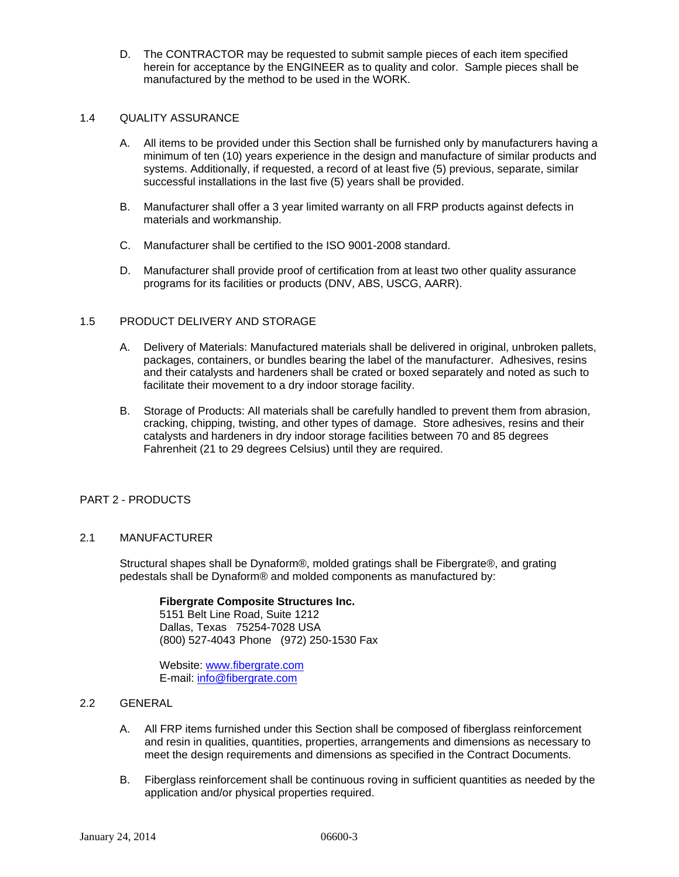D. The CONTRACTOR may be requested to submit sample pieces of each item specified herein for acceptance by the ENGINEER as to quality and color. Sample pieces shall be manufactured by the method to be used in the WORK.

## 1.4 QUALITY ASSURANCE

- A. All items to be provided under this Section shall be furnished only by manufacturers having a minimum of ten (10) years experience in the design and manufacture of similar products and systems. Additionally, if requested, a record of at least five (5) previous, separate, similar successful installations in the last five (5) years shall be provided.
- B. Manufacturer shall offer a 3 year limited warranty on all FRP products against defects in materials and workmanship.
- C. Manufacturer shall be certified to the ISO 9001-2008 standard.
- D. Manufacturer shall provide proof of certification from at least two other quality assurance programs for its facilities or products (DNV, ABS, USCG, AARR).

## 1.5 PRODUCT DELIVERY AND STORAGE

- A. Delivery of Materials: Manufactured materials shall be delivered in original, unbroken pallets, packages, containers, or bundles bearing the label of the manufacturer. Adhesives, resins and their catalysts and hardeners shall be crated or boxed separately and noted as such to facilitate their movement to a dry indoor storage facility.
- B. Storage of Products: All materials shall be carefully handled to prevent them from abrasion, cracking, chipping, twisting, and other types of damage. Store adhesives, resins and their catalysts and hardeners in dry indoor storage facilities between 70 and 85 degrees Fahrenheit (21 to 29 degrees Celsius) until they are required.

## PART 2 - PRODUCTS

## 2.1 MANUFACTURER

Structural shapes shall be Dynaform®, molded gratings shall be Fibergrate®, and grating pedestals shall be Dynaform® and molded components as manufactured by:

## **Fibergrate Composite Structures Inc.**

5151 Belt Line Road, Suite 1212 Dallas, Texas 75254-7028 USA (800) 527-4043 Phone (972) 250-1530 Fax

Website: www.fibergrate.com E-mail: info@fibergrate.com

- 2.2 GENERAL
	- A. All FRP items furnished under this Section shall be composed of fiberglass reinforcement and resin in qualities, quantities, properties, arrangements and dimensions as necessary to meet the design requirements and dimensions as specified in the Contract Documents.
	- B. Fiberglass reinforcement shall be continuous roving in sufficient quantities as needed by the application and/or physical properties required.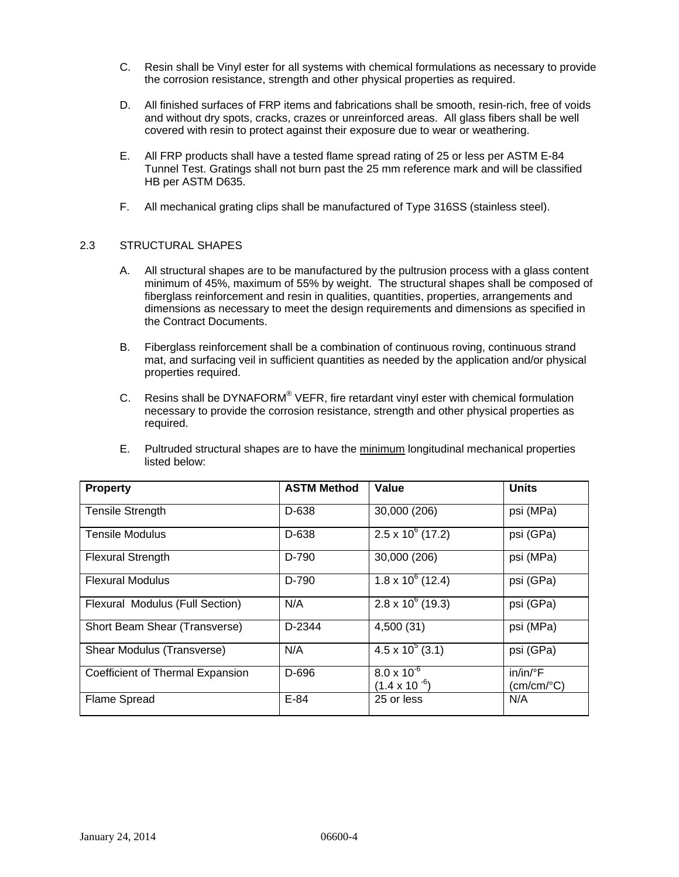- C. Resin shall be Vinyl ester for all systems with chemical formulations as necessary to provide the corrosion resistance, strength and other physical properties as required.
- D. All finished surfaces of FRP items and fabrications shall be smooth, resin-rich, free of voids and without dry spots, cracks, crazes or unreinforced areas. All glass fibers shall be well covered with resin to protect against their exposure due to wear or weathering.
- E. All FRP products shall have a tested flame spread rating of 25 or less per ASTM E-84 Tunnel Test. Gratings shall not burn past the 25 mm reference mark and will be classified HB per ASTM D635.
- F. All mechanical grating clips shall be manufactured of Type 316SS (stainless steel).

## 2.3 STRUCTURAL SHAPES

- A. All structural shapes are to be manufactured by the pultrusion process with a glass content minimum of 45%, maximum of 55% by weight. The structural shapes shall be composed of fiberglass reinforcement and resin in qualities, quantities, properties, arrangements and dimensions as necessary to meet the design requirements and dimensions as specified in the Contract Documents.
- B. Fiberglass reinforcement shall be a combination of continuous roving, continuous strand mat, and surfacing veil in sufficient quantities as needed by the application and/or physical properties required.
- C. Resins shall be DYNAFORM<sup>®</sup> VEFR, fire retardant vinyl ester with chemical formulation necessary to provide the corrosion resistance, strength and other physical properties as required.
- E. Pultruded structural shapes are to have the minimum longitudinal mechanical properties listed below:

| <b>Property</b>                  | <b>ASTM Method</b> | Value                                          | <b>Units</b>                                    |
|----------------------------------|--------------------|------------------------------------------------|-------------------------------------------------|
| <b>Tensile Strength</b>          | D-638              | 30,000 (206)                                   | psi (MPa)                                       |
| Tensile Modulus                  | D-638              | $2.5 \times 10^6$ (17.2)                       | psi (GPa)                                       |
| <b>Flexural Strength</b>         | D-790              | 30,000 (206)                                   | psi (MPa)                                       |
| <b>Flexural Modulus</b>          | D-790              | $1.8 \times 10^6$ (12.4)                       | psi (GPa)                                       |
| Flexural Modulus (Full Section)  | N/A                | $2.8 \times 10^6$ (19.3)                       | psi (GPa)                                       |
| Short Beam Shear (Transverse)    | D-2344             | 4,500 (31)                                     | psi (MPa)                                       |
| Shear Modulus (Transverse)       | N/A                | $4.5 \times 10^5$ (3.1)                        | psi (GPa)                                       |
| Coefficient of Thermal Expansion | D-696              | $8.0 \times 10^{-6}$<br>$(1.4 \times 10^{-6})$ | $in/in/{}^{\circ}F$<br>$(cm/cm$ <sup>o</sup> C) |
| <b>Flame Spread</b>              | $E-84$             | 25 or less                                     | N/A                                             |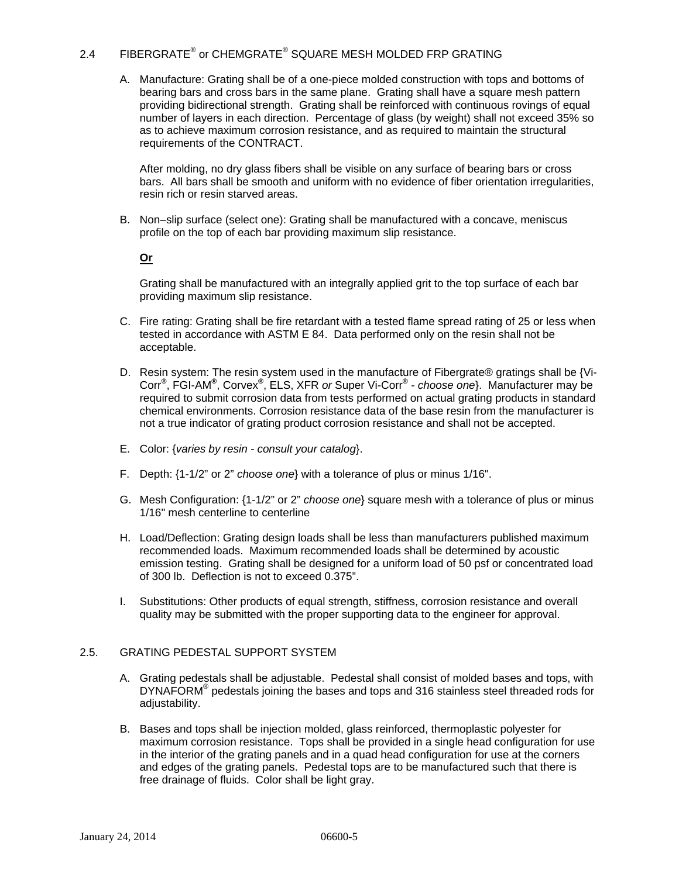## 2.4 FIBERGRATE® or CHEMGRATE® SQUARE MESH MOLDED FRP GRATING

A. Manufacture: Grating shall be of a one-piece molded construction with tops and bottoms of bearing bars and cross bars in the same plane. Grating shall have a square mesh pattern providing bidirectional strength. Grating shall be reinforced with continuous rovings of equal number of layers in each direction. Percentage of glass (by weight) shall not exceed 35% so as to achieve maximum corrosion resistance, and as required to maintain the structural requirements of the CONTRACT.

After molding, no dry glass fibers shall be visible on any surface of bearing bars or cross bars. All bars shall be smooth and uniform with no evidence of fiber orientation irregularities, resin rich or resin starved areas.

B. Non–slip surface (select one): Grating shall be manufactured with a concave, meniscus profile on the top of each bar providing maximum slip resistance.

## **Or**

Grating shall be manufactured with an integrally applied grit to the top surface of each bar providing maximum slip resistance.

- C. Fire rating: Grating shall be fire retardant with a tested flame spread rating of 25 or less when tested in accordance with ASTM E 84. Data performed only on the resin shall not be acceptable.
- D. Resin system: The resin system used in the manufacture of Fibergrate® gratings shall be {Vi-Corr**®** , FGI-AM**®** , Corvex**®** , ELS, XFR *or* Super Vi-Corr**®** - *choose one*}. Manufacturer may be required to submit corrosion data from tests performed on actual grating products in standard chemical environments. Corrosion resistance data of the base resin from the manufacturer is not a true indicator of grating product corrosion resistance and shall not be accepted.
- E. Color: {*varies by resin consult your catalog*}.
- F. Depth: {1-1/2" or 2" *choose one*} with a tolerance of plus or minus 1/16".
- G. Mesh Configuration: {1-1/2" or 2" *choose one*} square mesh with a tolerance of plus or minus 1/16" mesh centerline to centerline
- H. Load/Deflection: Grating design loads shall be less than manufacturers published maximum recommended loads. Maximum recommended loads shall be determined by acoustic emission testing. Grating shall be designed for a uniform load of 50 psf or concentrated load of 300 lb. Deflection is not to exceed 0.375".
- I. Substitutions: Other products of equal strength, stiffness, corrosion resistance and overall quality may be submitted with the proper supporting data to the engineer for approval.

## 2.5. GRATING PEDESTAL SUPPORT SYSTEM

- A. Grating pedestals shall be adjustable. Pedestal shall consist of molded bases and tops, with DYNAFORM<sup>®</sup> pedestals joining the bases and tops and 316 stainless steel threaded rods for adjustability.
- B. Bases and tops shall be injection molded, glass reinforced, thermoplastic polyester for maximum corrosion resistance. Tops shall be provided in a single head configuration for use in the interior of the grating panels and in a quad head configuration for use at the corners and edges of the grating panels. Pedestal tops are to be manufactured such that there is free drainage of fluids. Color shall be light gray.